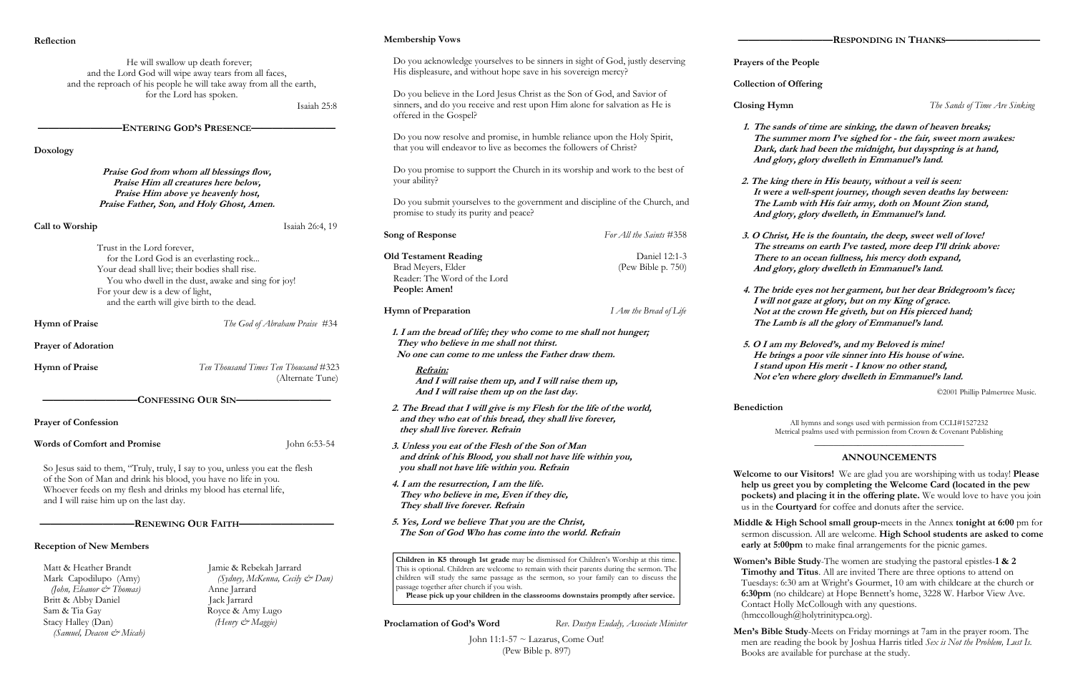### **Membership Vows**

| Reflection                                                                                                                                                                                      |                                                                                            | <b>Membership Vows</b>                                                                                                                                                                                                                                                                                                 |                                        |                                              |
|-------------------------------------------------------------------------------------------------------------------------------------------------------------------------------------------------|--------------------------------------------------------------------------------------------|------------------------------------------------------------------------------------------------------------------------------------------------------------------------------------------------------------------------------------------------------------------------------------------------------------------------|----------------------------------------|----------------------------------------------|
|                                                                                                                                                                                                 | He will swallow up death forever;<br>and the Lord God will wipe away tears from all faces, | Do you acknowledge yourselves to be sinners in sight of God, justly deserving<br>His displeasure, and without hope save in his sovereign mercy?                                                                                                                                                                        |                                        | Prayers of th                                |
|                                                                                                                                                                                                 | and the reproach of his people he will take away from all the earth,                       |                                                                                                                                                                                                                                                                                                                        |                                        | Collection of                                |
| for the Lord has spoken.<br>Isaiah 25:8                                                                                                                                                         |                                                                                            | Do you believe in the Lord Jesus Christ as the Son of God, and Savior of<br>sinners, and do you receive and rest upon Him alone for salvation as He is<br>offered in the Gospel?                                                                                                                                       |                                        | <b>Closing Hyn</b>                           |
|                                                                                                                                                                                                 | <b>ENTERING GOD'S PRESENCE-</b>                                                            |                                                                                                                                                                                                                                                                                                                        |                                        | 1. The san                                   |
| Doxology                                                                                                                                                                                        |                                                                                            | Do you now resolve and promise, in humble reliance upon the Holy Spirit,<br>that you will endeavor to live as becomes the followers of Christ?                                                                                                                                                                         |                                        | The sur<br>Dark, d<br>And glo                |
| Praise God from whom all blessings flow,<br>Praise Him all creatures here below,<br>Praise Him above ye heavenly host,<br>Praise Father, Son, and Holy Ghost, Amen.                             |                                                                                            | Do you promise to support the Church in its worship and work to the best of<br>your ability?                                                                                                                                                                                                                           |                                        | 2. The king<br>It were                       |
|                                                                                                                                                                                                 |                                                                                            | Do you submit yourselves to the government and discipline of the Church, and<br>promise to study its purity and peace?                                                                                                                                                                                                 |                                        | The La<br>And glo                            |
| Call to Worship<br>Trust in the Lord forever,                                                                                                                                                   | Isaiah 26:4, 19                                                                            | Song of Response                                                                                                                                                                                                                                                                                                       | For All the Saints #358                | 3. O Chris<br>The stre                       |
|                                                                                                                                                                                                 | for the Lord God is an everlasting rock                                                    | <b>Old Testament Reading</b>                                                                                                                                                                                                                                                                                           | Daniel 12:1-3                          | <b>There</b> to                              |
| Your dead shall live; their bodies shall rise.<br>You who dwell in the dust, awake and sing for joy!                                                                                            |                                                                                            | Brad Meyers, Elder<br>Reader: The Word of the Lord                                                                                                                                                                                                                                                                     | (Pew Bible p. 750)                     | And glo                                      |
| For your dew is a dew of light,                                                                                                                                                                 |                                                                                            | People: Amen!                                                                                                                                                                                                                                                                                                          |                                        | 4. The brie                                  |
|                                                                                                                                                                                                 | and the earth will give birth to the dead.                                                 | <b>Hymn of Preparation</b>                                                                                                                                                                                                                                                                                             | I Am the Bread of Life                 | I will no<br>Not at t<br>The La              |
| <b>Hymn of Praise</b><br>The God of Abraham Praise #34<br><b>Prayer of Adoration</b>                                                                                                            |                                                                                            | 1. I am the bread of life; they who come to me shall not hunger;<br>They who believe in me shall not thirst.<br>No one can come to me unless the Father draw them.                                                                                                                                                     |                                        | 5. $O I$ am<br>He brin                       |
| <b>Hymn of Praise</b>                                                                                                                                                                           | Ten Thousand Times Ten Thousand #323<br>(Alternate Tune)                                   | Refrain:<br>And I will raise them up, and I will raise them up,<br>And I will raise them up on the last day.                                                                                                                                                                                                           |                                        | I stand<br>Not e'e                           |
|                                                                                                                                                                                                 | CONFESSING OUR SIN-                                                                        |                                                                                                                                                                                                                                                                                                                        |                                        | <b>Benediction</b>                           |
| <b>Prayer of Confession</b>                                                                                                                                                                     |                                                                                            | 2. The Bread that I will give is my Flesh for the life of the world,<br>and they who eat of this bread, they shall live forever,<br>they shall live forever. Refrain                                                                                                                                                   |                                        | Me                                           |
| <b>Words of Comfort and Promise</b><br>John 6:53-54                                                                                                                                             |                                                                                            | 3. Unless you eat of the Flesh of the Son of Man<br>and drink of his Blood, you shall not have life within you,                                                                                                                                                                                                        |                                        |                                              |
| So Jesus said to them, "Truly, truly, I say to you, unless you eat the flesh                                                                                                                    |                                                                                            | you shall not have life within you. Refrain                                                                                                                                                                                                                                                                            |                                        | Welcome to                                   |
| of the Son of Man and drink his blood, you have no life in you.<br>Whoever feeds on my flesh and drinks my blood has eternal life,<br>and I will raise him up on the last day.                  |                                                                                            | 4. I am the resurrection, I am the life.<br>They who believe in me, Even if they die,<br>They shall live forever. Refrain                                                                                                                                                                                              |                                        | help us gre<br>pockets) a<br>us in the $C_0$ |
| -RENEWING OUR FAITH-                                                                                                                                                                            |                                                                                            | 5. Yes, Lord we believe That you are the Christ,<br>The Son of God Who has come into the world. Refrain                                                                                                                                                                                                                |                                        | Middle & H<br>sermon disc<br>early at 5:0    |
| <b>Reception of New Members</b>                                                                                                                                                                 |                                                                                            | Children in K5 through 1st grade may be dismissed for Children's Worship at this time.                                                                                                                                                                                                                                 |                                        | Women's Bil                                  |
| Matt & Heather Brandt<br>Jamie & Rebekah Jarrard<br>(Sydney, McKenna, Cecily & Dan)<br>Mark Capodilupo (Amy)<br>(John, Eleanor & Thomas)<br>Anne Jarrard<br>Britt & Abby Daniel<br>Jack Jarrard |                                                                                            | This is optional. Children are welcome to remain with their parents during the sermon. The<br>children will study the same passage as the sermon, so your family can to discuss the<br>passage together after church if you wish.<br>Please pick up your children in the classrooms downstairs promptly after service. |                                        | Timothy a<br>Tuesdays: 6<br>$6:30$ pm (no    |
| Sam & Tia Gay<br>Stacy Halley (Dan)<br>(Samuel, Deacon & Micah)                                                                                                                                 | Royce & Amy Lugo<br>(Henry & Maggie)                                                       | Proclamation of God's Word                                                                                                                                                                                                                                                                                             | Rev. Dustyn Eudaly, Associate Minister | Contact Ho<br>(hmccollous<br>Men's Bible     |

John 11:1-57 ~ Lazarus, Come Out! (Pew Bible p. 897)

Christ, He is the fountain, the deep, sweet well of love! **The streams on earth I've tasted, more deep I'll drink above: There to an ocean fullness, his mercy doth expand, And glory, glory dwelleth in Emmanuel's land.**

**Welcome to our Visitors!** We are glad you are worshiping with us today! **Please help us greet you by completing the Welcome Card (located in the pew kets) and placing it in the offering plate.** We would love to have you join the **Courtyard** for coffee and donuts after the service.

**Middle & High School small group-**meets in the Annex **tonight at 6:00** pm for sermon discussion. All are welcome. **High School students are asked to come**  at 5:00pm to make final arrangements for the picnic games.

**Women's Bible Study**-The women are studying the pastoral epistles-**1 & 2 Titus.** All are invited There are three options to attend on sdays: 6:30 am at Wright's Gourmet, 10 am with childcare at the church or **6:30pm** (no childcare) at Hope Bennett's home, 3228 W. Harbor View Ave. tact Holly McCollough with any questions. ccollough@holytrinitypca.org).

**Bible Study-Meets on Friday mornings at 7am in the prayer room. The** men are reading the book by Joshua Harris titled *Sex is Not the Problem, Lust Is.*  Books are available for purchase at the study.

rs of the People

ction of Offering

**Closing Hymn** *The Sands of Time Are Sinking*

**1. The sands of time are sinking, the dawn of heaven breaks; The summer morn I've sighed for - the fair, sweet morn awakes: Dark, dark had been the midnight, but dayspring is at hand, And glory, glory dwelleth in Emmanuel's land.**

**2. The king there in His beauty, without a veil is seen:** were a well-spent journey, though seven deaths lay between: **The Lamb with His fair army, doth on Mount Zion stand, And glory, glory dwelleth, in Emmanuel's land.**

**4. The bride eyes not her garment, but her dear Bridegroom's face; I will not gaze at glory, but on my King of grace. Not at the crown He giveth, but on His pierced hand; The Lamb is all the glory of Emmanuel's land.**

**5. O I am my Beloved's, and my Beloved is mine! He brings a poor vile sinner into His house of wine. I stand upon His merit - I know no other stand, Not e'en where glory dwelleth in Emmanuel's land.**

©2001 Phillip Palmertree Music.

All hymns and songs used with permission from CCLI#1527232 Metrical psalms used with permission from Crown & Covenant Publishing

# \_\_\_\_\_\_\_\_\_\_\_\_\_\_\_\_\_\_\_\_\_\_\_\_\_\_\_\_\_\_\_ **ANNOUNCEMENTS**